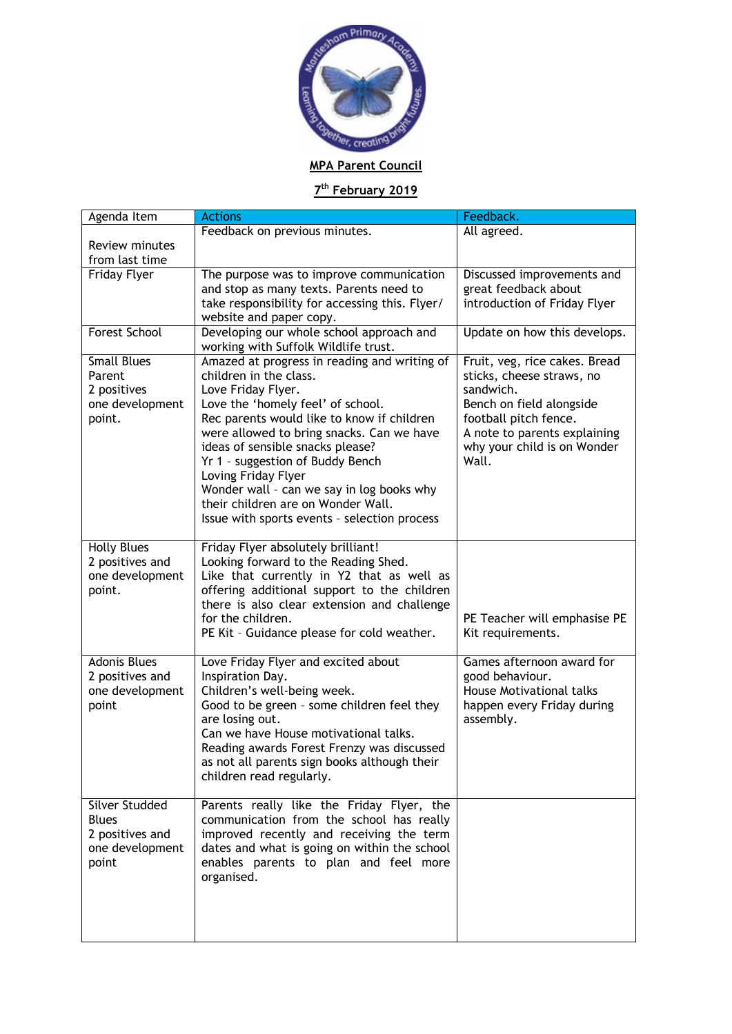

## **7th February 2019**

| Agenda Item                                                                          | <b>Actions</b>                                                                                                                                                                                                                                                                                                                                                                                                                                                 | Feedback.                                                                                                                                                                                            |
|--------------------------------------------------------------------------------------|----------------------------------------------------------------------------------------------------------------------------------------------------------------------------------------------------------------------------------------------------------------------------------------------------------------------------------------------------------------------------------------------------------------------------------------------------------------|------------------------------------------------------------------------------------------------------------------------------------------------------------------------------------------------------|
|                                                                                      | Feedback on previous minutes.                                                                                                                                                                                                                                                                                                                                                                                                                                  | All agreed.                                                                                                                                                                                          |
| Review minutes                                                                       |                                                                                                                                                                                                                                                                                                                                                                                                                                                                |                                                                                                                                                                                                      |
| from last time                                                                       |                                                                                                                                                                                                                                                                                                                                                                                                                                                                |                                                                                                                                                                                                      |
| <b>Friday Flyer</b>                                                                  | The purpose was to improve communication<br>and stop as many texts. Parents need to<br>take responsibility for accessing this. Flyer/<br>website and paper copy.                                                                                                                                                                                                                                                                                               | Discussed improvements and<br>great feedback about<br>introduction of Friday Flyer                                                                                                                   |
| <b>Forest School</b>                                                                 | Developing our whole school approach and<br>working with Suffolk Wildlife trust.                                                                                                                                                                                                                                                                                                                                                                               | Update on how this develops.                                                                                                                                                                         |
| <b>Small Blues</b><br>Parent<br>2 positives<br>one development<br>point.             | Amazed at progress in reading and writing of<br>children in the class.<br>Love Friday Flyer.<br>Love the 'homely feel' of school.<br>Rec parents would like to know if children<br>were allowed to bring snacks. Can we have<br>ideas of sensible snacks please?<br>Yr 1 - suggestion of Buddy Bench<br>Loving Friday Flyer<br>Wonder wall - can we say in log books why<br>their children are on Wonder Wall.<br>Issue with sports events - selection process | Fruit, veg, rice cakes. Bread<br>sticks, cheese straws, no<br>sandwich.<br>Bench on field alongside<br>football pitch fence.<br>A note to parents explaining<br>why your child is on Wonder<br>Wall. |
| <b>Holly Blues</b><br>2 positives and<br>one development<br>point.                   | Friday Flyer absolutely brilliant!<br>Looking forward to the Reading Shed.<br>Like that currently in Y2 that as well as<br>offering additional support to the children<br>there is also clear extension and challenge<br>for the children.<br>PE Kit - Guidance please for cold weather.                                                                                                                                                                       | PE Teacher will emphasise PE<br>Kit requirements.                                                                                                                                                    |
| <b>Adonis Blues</b><br>2 positives and<br>one development<br>point                   | Love Friday Flyer and excited about<br>Inspiration Day.<br>Children's well-being week.<br>Good to be green - some children feel they<br>are losing out.<br>Can we have House motivational talks.<br>Reading awards Forest Frenzy was discussed<br>as not all parents sign books although their<br>children read regularly.                                                                                                                                     | Games afternoon award for<br>good behaviour.<br><b>House Motivational talks</b><br>happen every Friday during<br>assembly.                                                                           |
| <b>Silver Studded</b><br><b>Blues</b><br>2 positives and<br>one development<br>point | Parents really like the Friday Flyer, the<br>communication from the school has really<br>improved recently and receiving the term<br>dates and what is going on within the school<br>enables parents to plan and feel more<br>organised.                                                                                                                                                                                                                       |                                                                                                                                                                                                      |